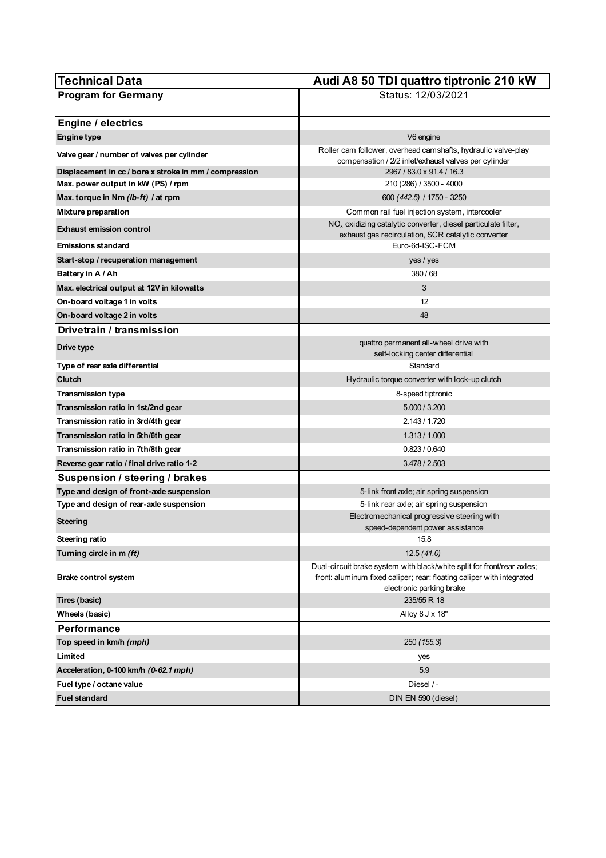| Technical Data                                         | Audi A8 50 TDI quattro tiptronic 210 kW                                                                                                                                     |
|--------------------------------------------------------|-----------------------------------------------------------------------------------------------------------------------------------------------------------------------------|
| <b>Program for Germany</b>                             | Status: 12/03/2021                                                                                                                                                          |
| <b>Engine / electrics</b>                              |                                                                                                                                                                             |
| <b>Engine type</b>                                     | V6 engine                                                                                                                                                                   |
| Valve gear / number of valves per cylinder             | Roller cam follower, overhead camshafts, hydraulic valve-play<br>compensation / 2/2 inlet/exhaust valves per cylinder                                                       |
| Displacement in cc / bore x stroke in mm / compression | 2967 / 83.0 x 91.4 / 16.3                                                                                                                                                   |
| Max. power output in kW (PS) / rpm                     | 210 (286) / 3500 - 4000                                                                                                                                                     |
| Max. torque in Nm (lb-ft) / at rpm                     | 600 (442.5) / 1750 - 3250                                                                                                                                                   |
| Mixture preparation                                    | Common rail fuel injection system, intercooler                                                                                                                              |
| <b>Exhaust emission control</b>                        | $NOx$ oxidizing catalytic converter, diesel particulate filter,<br>exhaust gas recirculation, SCR catalytic converter                                                       |
| <b>Emissions standard</b>                              | Euro-6d-ISC-FCM                                                                                                                                                             |
| Start-stop / recuperation management                   | yes / yes                                                                                                                                                                   |
| Battery in A / Ah                                      | 380/68                                                                                                                                                                      |
| Max. electrical output at 12V in kilowatts             | 3                                                                                                                                                                           |
| On-board voltage 1 in volts                            | 12                                                                                                                                                                          |
| On-board voltage 2 in volts                            | 48                                                                                                                                                                          |
| Drivetrain / transmission                              |                                                                                                                                                                             |
| Drive type                                             | quattro permanent all-wheel drive with<br>self-locking center differential                                                                                                  |
| Type of rear axle differential                         | Standard                                                                                                                                                                    |
| Clutch                                                 | Hydraulic torque converter with lock-up clutch                                                                                                                              |
| Transmission type                                      | 8-speed tiptronic                                                                                                                                                           |
| Transmission ratio in 1st/2nd gear                     | 5.000 / 3.200                                                                                                                                                               |
| Transmission ratio in 3rd/4th gear                     | 2.143 / 1.720                                                                                                                                                               |
| Transmission ratio in 5th/6th gear                     | 1.313 / 1.000                                                                                                                                                               |
| Transmission ratio in 7th/8th gear                     | 0.823 / 0.640                                                                                                                                                               |
| Reverse gear ratio / final drive ratio 1-2             | 3.478 / 2.503                                                                                                                                                               |
| Suspension / steering / brakes                         |                                                                                                                                                                             |
| Type and design of front-axle suspension               | 5-link front axle; air spring suspension                                                                                                                                    |
| Type and design of rear-axle suspension                | 5-link rear axle; air spring suspension                                                                                                                                     |
| Steering                                               | Electromechanical progressive steering with<br>speed-dependent power assistance                                                                                             |
| <b>Steering ratio</b>                                  | 15.8                                                                                                                                                                        |
| Turning circle in m (ft)                               | 12.5(41.0)                                                                                                                                                                  |
| <b>Brake control system</b>                            | Dual-circuit brake system with black/white split for front/rear axles;<br>front: aluminum fixed caliper; rear: floating caliper with integrated<br>electronic parking brake |
| Tires (basic)                                          | 235/55 R 18                                                                                                                                                                 |
| Wheels (basic)                                         | Alloy 8 J x 18"                                                                                                                                                             |
| <b>Performance</b>                                     |                                                                                                                                                                             |
| Top speed in km/h (mph)                                | 250 (155.3)                                                                                                                                                                 |
| Limited                                                | yes                                                                                                                                                                         |
| Acceleration, 0-100 km/h (0-62.1 mph)                  | 5.9                                                                                                                                                                         |
| Fuel type / octane value                               | Diesel / -                                                                                                                                                                  |
| <b>Fuel standard</b>                                   | DIN EN 590 (diesel)                                                                                                                                                         |